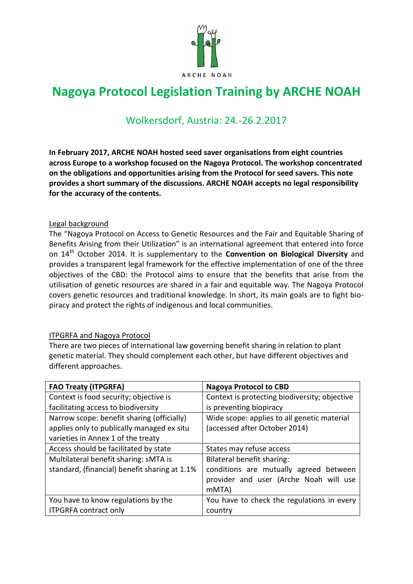

# **Nagoya Protocol Legislation Training by ARCHE NOAH**

# Wolkersdorf, Austria: 24.-26.2.2017

**In February 2017, ARCHE NOAH hosted seed saver organisations from eight countries across Europe to a workshop focused on the Nagoya Protocol. The workshop concentrated on the obligations and opportunities arising from the Protocol for seed savers. This note provides a short summary of the discussions. ARCHE NOAH accepts no legal responsibility for the accuracy of the contents.**

#### Legal background

The "Nagoya Protocol on Access to Genetic Resources and the Fair and Equitable Sharing of Benefits Arising from their Utilization" is an international agreement that entered into force on 14th October 2014. It is supplementary to the **Convention on Biological Diversity** and provides a transparent legal framework for the effective implementation of one of the three objectives of the CBD: the Protocol aims to ensure that the benefits that arise from the utilisation of genetic resources are shared in a fair and equitable way. The Nagoya Protocol covers genetic resources and traditional knowledge. In short, its main goals are to fight biopiracy and protect the rights of indigenous and local communities.

#### ITPGRFA and Nagoya Protocol

There are two pieces of international law governing benefit sharing in relation to plant genetic material. They should complement each other, but have different objectives and different approaches.

| <b>FAO Treaty (ITPGRFA)</b>                   | <b>Nagoya Protocol to CBD</b>                 |
|-----------------------------------------------|-----------------------------------------------|
| Context is food security; objective is        | Context is protecting biodiversity; objective |
| facilitating access to biodiversity           | is preventing biopiracy                       |
| Narrow scope: benefit sharing (officially)    | Wide scope: applies to all genetic material   |
| applies only to publically managed ex situ    | (accessed after October 2014)                 |
| varieties in Annex 1 of the treaty            |                                               |
| Access should be facilitated by state         | States may refuse access                      |
| Multilateral benefit sharing: sMTA is         | Bilateral benefit sharing:                    |
| standard, (financial) benefit sharing at 1.1% | conditions are mutually agreed between        |
|                                               | provider and user (Arche Noah will use        |
|                                               | mMTA)                                         |
| You have to know regulations by the           | You have to check the regulations in every    |
| <b>ITPGRFA contract only</b>                  | country                                       |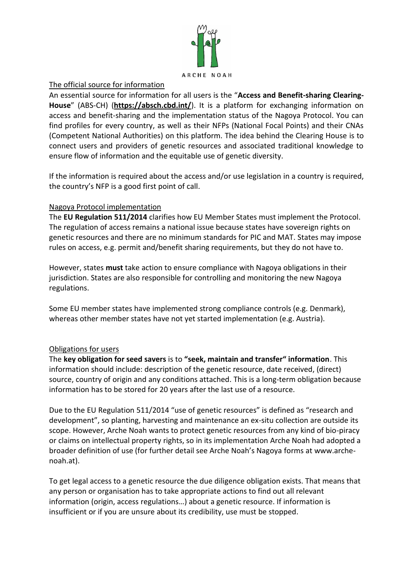

# The official source for information

An essential source for information for all users is the "**Access and Benefit-sharing Clearing-House**" (ABS-CH) (**<https://absch.cbd.int/>**). It is a platform for exchanging information on access and benefit-sharing and the implementation status of the Nagoya Protocol. You can find profiles for every country, as well as their NFPs (National Focal Points) and their CNAs (Competent National Authorities) on this platform. The idea behind the Clearing House is to connect users and providers of genetic resources and associated traditional knowledge to ensure flow of information and the equitable use of genetic diversity.

If the information is required about the access and/or use legislation in a country is required, the country's NFP is a good first point of call.

# Nagoya Protocol implementation

The **EU Regulation 511/2014** clarifies how EU Member States must implement the Protocol. The regulation of access remains a national issue because states have sovereign rights on genetic resources and there are no minimum standards for PIC and MAT. States may impose rules on access, e.g. permit and/benefit sharing requirements, but they do not have to.

However, states **must** take action to ensure compliance with Nagoya obligations in their jurisdiction. States are also responsible for controlling and monitoring the new Nagoya regulations.

Some EU member states have implemented strong compliance controls (e.g. Denmark), whereas other member states have not yet started implementation (e.g. Austria).

# Obligations for users

The **key obligation for seed savers** is to **"seek, maintain and transfer" information**. This information should include: description of the genetic resource, date received, (direct) source, country of origin and any conditions attached. This is a long-term obligation because information has to be stored for 20 years after the last use of a resource.

Due to the EU Regulation 511/2014 "use of genetic resources" is defined as "research and development", so planting, harvesting and maintenance an ex-situ collection are outside its scope. However, Arche Noah wants to protect genetic resources from any kind of bio-piracy or claims on intellectual property rights, so in its implementation Arche Noah had adopted a broader definition of use (for further detail see Arche Noah's Nagoya forms at www.archenoah.at).

To get legal access to a genetic resource the due diligence obligation exists. That means that any person or organisation has to take appropriate actions to find out all relevant information (origin, access regulations…) about a genetic resource. If information is insufficient or if you are unsure about its credibility, use must be stopped.